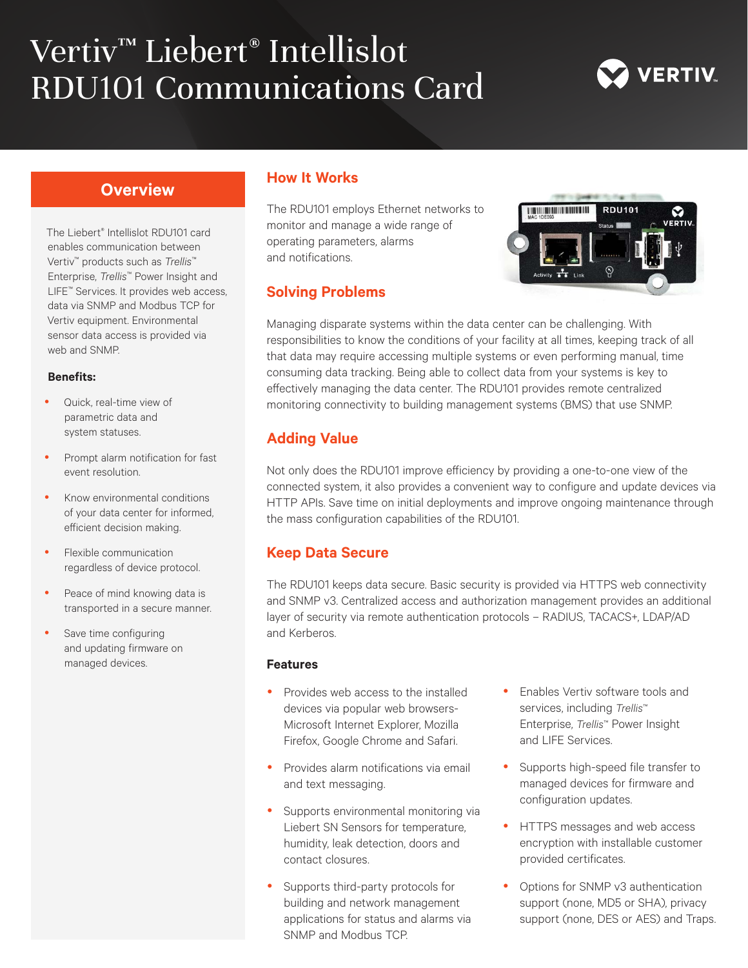# Vertiv™ Liebert® Intellislot RDU101 Communications Card



## **Overview**

The Liebert® Intellislot RDU101 card enables communication between Vertiv™ products such as *Trellis*™ Enterprise, *Trellis*™ Power Insight and LIFE™ Services. It provides web access, data via SNMP and Modbus TCP for Vertiv equipment. Environmental sensor data access is provided via web and SNMP.

#### **Benefits:**

- Quick, real-time view of parametric data and system statuses.
- Prompt alarm notification for fast event resolution.
- Know environmental conditions of your data center for informed, efficient decision making.
- Flexible communication regardless of device protocol.
- Peace of mind knowing data is transported in a secure manner.
- Save time configuring and updating firmware on managed devices.

### **How It Works**

The RDU101 employs Ethernet networks to monitor and manage a wide range of operating parameters, alarms and notifications.

### **Solving Problems**



Managing disparate systems within the data center can be challenging. With responsibilities to know the conditions of your facility at all times, keeping track of all that data may require accessing multiple systems or even performing manual, time consuming data tracking. Being able to collect data from your systems is key to effectively managing the data center. The RDU101 provides remote centralized monitoring connectivity to building management systems (BMS) that use SNMP.

# **Adding Value**

Not only does the RDU101 improve efficiency by providing a one-to-one view of the connected system, it also provides a convenient way to configure and update devices via HTTP APIs. Save time on initial deployments and improve ongoing maintenance through the mass configuration capabilities of the RDU101.

## **Keep Data Secure**

The RDU101 keeps data secure. Basic security is provided via HTTPS web connectivity and SNMP v3. Centralized access and authorization management provides an additional layer of security via remote authentication protocols – RADIUS, TACACS+, LDAP/AD and Kerberos.

#### **Features**

- Provides web access to the installed devices via popular web browsers-Microsoft Internet Explorer, Mozilla Firefox, Google Chrome and Safari.
- Provides alarm notifications via email and text messaging.
- Supports environmental monitoring via Liebert SN Sensors for temperature, humidity, leak detection, doors and contact closures.
- Supports third-party protocols for building and network management applications for status and alarms via SNMP and Modbus TCP.
- Enables Vertiv software tools and services, including *Trellis*™ Enterprise, *Trellis*™ Power Insight and LIFE Services.
- Supports high-speed file transfer to managed devices for firmware and configuration updates.
- HTTPS messages and web access encryption with installable customer provided certificates.
- Options for SNMP v3 authentication support (none, MD5 or SHA), privacy support (none, DES or AES) and Traps.